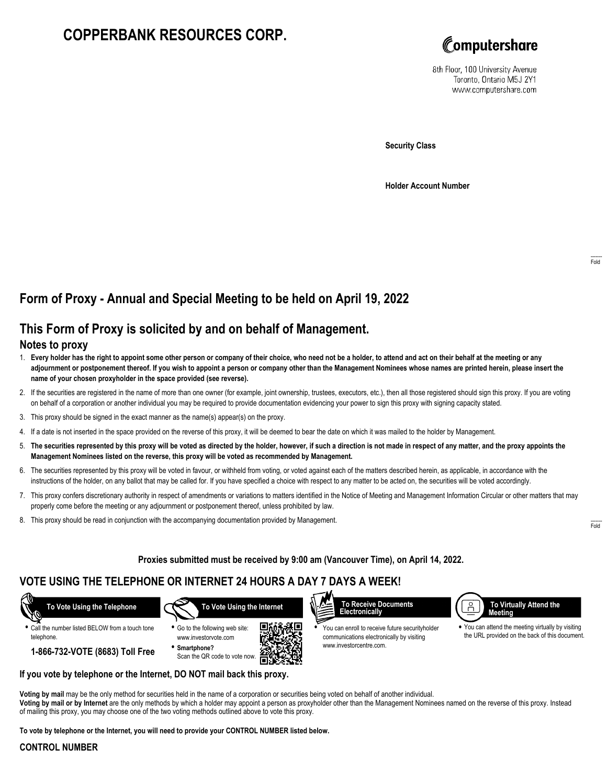# **COPPERBANK RESOURCES CORP.**



8th Floor, 100 University Avenue Toronto, Ontario M5J 2Y1 www.computershare.com

**Security Class**

**Holder Account Number**

## **Form of Proxy - Annual and Special Meeting to be held on April 19, 2022**

## **This Form of Proxy is solicited by and on behalf of Management.**

### **Notes to proxy**

- 1. **Every holder has the right to appoint some other person or company of their choice, who need not be a holder, to attend and act on their behalf at the meeting or any adjournment or postponement thereof. If you wish to appoint a person or company other than the Management Nominees whose names are printed herein, please insert the name of your chosen proxyholder in the space provided (see reverse).**
- 2. If the securities are registered in the name of more than one owner (for example, joint ownership, trustees, executors, etc.), then all those registered should sign this proxy. If you are voting on behalf of a corporation or another individual you may be required to provide documentation evidencing your power to sign this proxy with signing capacity stated.
- 3. This proxy should be signed in the exact manner as the name(s) appear(s) on the proxy.
- 4. If a date is not inserted in the space provided on the reverse of this proxy, it will be deemed to bear the date on which it was mailed to the holder by Management.
- 5. **The securities represented by this proxy will be voted as directed by the holder, however, if such a direction is not made in respect of any matter, and the proxy appoints the Management Nominees listed on the reverse, this proxy will be voted as recommended by Management.**
- 6. The securities represented by this proxy will be voted in favour, or withheld from voting, or voted against each of the matters described herein, as applicable, in accordance with the instructions of the holder, on any ballot that may be called for. If you have specified a choice with respect to any matter to be acted on, the securities will be voted accordingly.
- 7. This proxy confers discretionary authority in respect of amendments or variations to matters identified in the Notice of Meeting and Management Information Circular or other matters that may properly come before the meeting or any adjournment or postponement thereof, unless prohibited by law.
- 8. This proxy should be read in conjunction with the accompanying documentation provided by Management.

**Proxies submitted must be received by 9:00 am (Vancouver Time), on April 14, 2022.**

### **VOTE USING THE TELEPHONE OR INTERNET 24 HOURS A DAY 7 DAYS A WEEK!**



**•** Call the number listed BELOW from a touch tone telephone.

 **To Vote Using the Internet**





**•** You can enroll to receive future securityholder communications electronically by visiting www.investorcentre.com.



**•** You can attend the meeting virtually by visiting the URL provided on the back of this document.

**1-866-732-VOTE (8683) Toll Free**

**If you vote by telephone or the Internet, DO NOT mail back this proxy.**

**Voting by mail** may be the only method for securities held in the name of a corporation or securities being voted on behalf of another individual. **Voting by mail or by Internet** are the only methods by which a holder may appoint a person as proxyholder other than the Management Nominees named on the reverse of this proxy. Instead of mailing this proxy, you may choose one of the two voting methods outlined above to vote this proxy.

ÆП

**To vote by telephone or the Internet, you will need to provide your CONTROL NUMBER listed below.**

#### **CONTROL NUMBER**